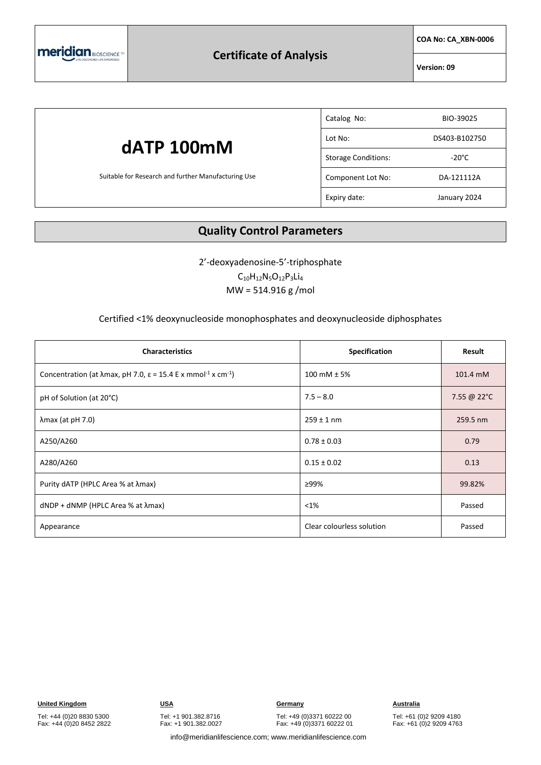

**COA No: CA\_XBN-0006**

**Version: 09**

### **dATP 100mM** Suitable for Research and further Manufacturing Use Catalog No: BIO-39025 Lot No: DS403-B102750 Storage Conditions: The Storage Conditions: Component Lot No: DA-121112A Expiry date: January 2024

#### **Quality Control Parameters**

2'-deoxyadenosine-5'-triphosphate

 $C_{10}H_{12}N_5O_{12}P_3Li_4$ MW = 514.916 g /mol

#### Certified <1% deoxynucleoside monophosphates and deoxynucleoside diphosphates

| <b>Characteristics</b>                                                                                    | Specification             | Result      |
|-----------------------------------------------------------------------------------------------------------|---------------------------|-------------|
| Concentration (at $\lambda$ max, pH 7.0, $\varepsilon$ = 15.4 E x mmol <sup>-1</sup> x cm <sup>-1</sup> ) | 100 mM $\pm$ 5%           | 101.4 mM    |
| pH of Solution (at 20°C)                                                                                  | $7.5 - 8.0$               | 7.55 @ 22°C |
| $\lambda$ max (at pH 7.0)                                                                                 | $259 \pm 1$ nm            | 259.5 nm    |
| A250/A260                                                                                                 | $0.78 \pm 0.03$           | 0.79        |
| A280/A260                                                                                                 | $0.15 \pm 0.02$           | 0.13        |
| Purity dATP (HPLC Area % at λmax)                                                                         | ≥99%                      | 99.82%      |
| $dNDP + dNMP$ (HPLC Area % at $\lambda$ max)                                                              | $< 1\%$                   | Passed      |
| Appearance                                                                                                | Clear colourless solution | Passed      |

Tel: +44 (0)20 8830 5300 Fax: +44 (0)20 8452 2822 Tel: +1 901.382.8716 Fax: +1 901.382.0027

Tel: +49 (0)3371 60222 00 Fax: +49 (0)3371 60222 01

Tel: +61 (0)2 9209 4180 Fax: +61 (0)2 9209 4763

info@meridianlifescience.com; www.meridianlifescience.com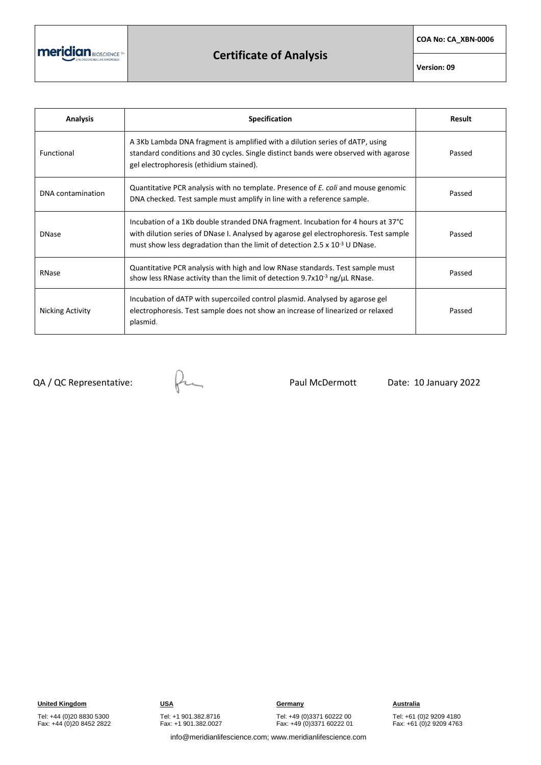meridian BIOSCIENCE

## **Certificate of Analysis**

**COA No: CA\_XBN-0006**

**Version: 09**

| <b>Analysis</b>   | <b>Specification</b>                                                                                                                                                                                                                                         | Result |
|-------------------|--------------------------------------------------------------------------------------------------------------------------------------------------------------------------------------------------------------------------------------------------------------|--------|
| Functional        | A 3Kb Lambda DNA fragment is amplified with a dilution series of dATP, using<br>standard conditions and 30 cycles. Single distinct bands were observed with agarose<br>gel electrophoresis (ethidium stained).                                               | Passed |
| DNA contamination | Quantitative PCR analysis with no template. Presence of E. coli and mouse genomic<br>DNA checked. Test sample must amplify in line with a reference sample.                                                                                                  | Passed |
| <b>DNase</b>      | Incubation of a 1Kb double stranded DNA fragment. Incubation for 4 hours at 37°C<br>with dilution series of DNase I. Analysed by agarose gel electrophoresis. Test sample<br>must show less degradation than the limit of detection 2.5 x $10^{-3}$ U DNase. | Passed |
| RNase             | Quantitative PCR analysis with high and low RNase standards. Test sample must<br>show less RNase activity than the limit of detection 9.7x10 $3$ ng/ $\mu$ L RNase.                                                                                          | Passed |
| Nicking Activity  | Incubation of dATP with supercoiled control plasmid. Analysed by agarose gel<br>electrophoresis. Test sample does not show an increase of linearized or relaxed<br>plasmid.                                                                                  | Passed |

 $QA$  / QC Representative:  $Q$ 

Tel: +49 (0)3371 60222 00 Fax: +49 (0)3371 60222 01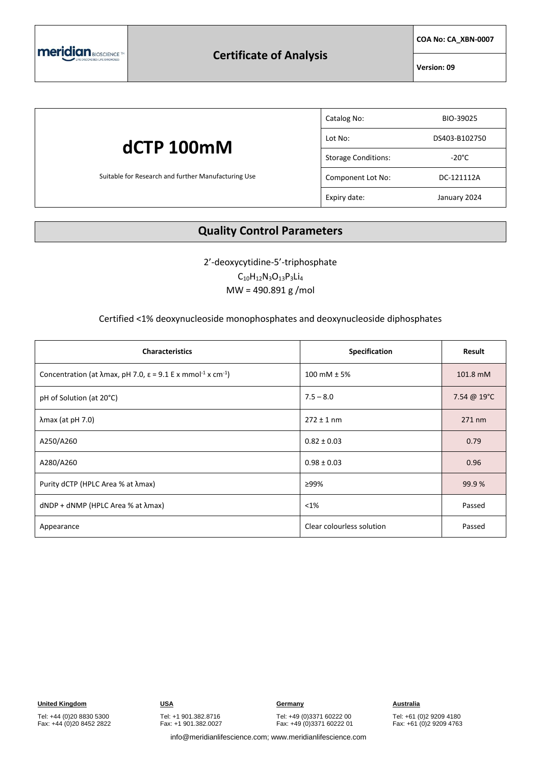

**COA No: CA\_XBN-0007**

**Version: 09**

### **dCTP 100mM** Suitable for Research and further Manufacturing Use Catalog No: BIO-39025 Lot No: DS403-B102750 Storage Conditions: The Storage Conditions: Component Lot No: DC-121112A Expiry date: January 2024

#### **Quality Control Parameters**

2'-deoxycytidine-5'-triphosphate  $C_{10}H_{12}N_3O_{13}P_3Li_4$ MW = 490.891 g /mol

#### Certified <1% deoxynucleoside monophosphates and deoxynucleoside diphosphates

| <b>Characteristics</b>                                                                                   | <b>Specification</b>      | Result      |
|----------------------------------------------------------------------------------------------------------|---------------------------|-------------|
| Concentration (at $\lambda$ max, pH 7.0, $\varepsilon$ = 9.1 E x mmol <sup>-1</sup> x cm <sup>-1</sup> ) | 100 mM $± 5%$             | 101.8 mM    |
| pH of Solution (at 20°C)                                                                                 | $7.5 - 8.0$               | 7.54 @ 19°C |
| $\lambda$ max (at pH 7.0)                                                                                | $272 \pm 1$ nm            | 271 nm      |
| A250/A260                                                                                                | $0.82 \pm 0.03$           | 0.79        |
| A280/A260                                                                                                | $0.98 \pm 0.03$           | 0.96        |
| Purity dCTP (HPLC Area % at λmax)                                                                        | ≥99%                      | 99.9%       |
| $dNDP + dNMP$ (HPLC Area % at $\lambda$ max)                                                             | $< 1\%$                   | Passed      |
| Appearance                                                                                               | Clear colourless solution | Passed      |

Tel: +44 (0)20 8830 5300 Fax: +44 (0)20 8452 2822

Tel: +49 (0)3371 60222 00 Fax: +49 (0)3371 60222 01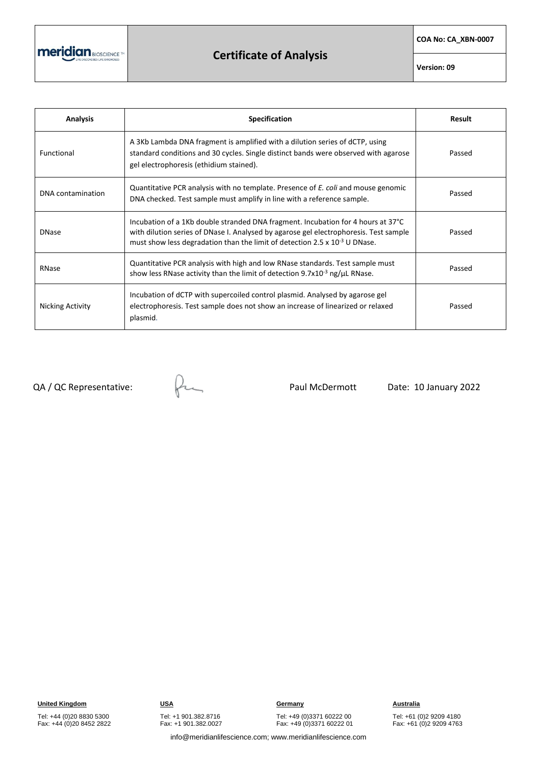meridian BIOSCIENCE TH

## **Certificate of Analysis**

**COA No: CA\_XBN-0007**

**Version: 09**

| <b>Analysis</b>   | Specification                                                                                                                                                                                                                                                | Result |
|-------------------|--------------------------------------------------------------------------------------------------------------------------------------------------------------------------------------------------------------------------------------------------------------|--------|
| <b>Functional</b> | A 3Kb Lambda DNA fragment is amplified with a dilution series of dCTP, using<br>standard conditions and 30 cycles. Single distinct bands were observed with agarose<br>gel electrophoresis (ethidium stained).                                               | Passed |
| DNA contamination | Quantitative PCR analysis with no template. Presence of E. coli and mouse genomic<br>DNA checked. Test sample must amplify in line with a reference sample.                                                                                                  | Passed |
| <b>DNase</b>      | Incubation of a 1Kb double stranded DNA fragment. Incubation for 4 hours at 37°C<br>with dilution series of DNase I. Analysed by agarose gel electrophoresis. Test sample<br>must show less degradation than the limit of detection 2.5 x $10^{-3}$ U DNase. | Passed |
| RNase             | Quantitative PCR analysis with high and low RNase standards. Test sample must<br>show less RNase activity than the limit of detection 9.7x10 $3$ ng/ $\mu$ L RNase.                                                                                          | Passed |
| Nicking Activity  | Incubation of dCTP with supercoiled control plasmid. Analysed by agarose gel<br>electrophoresis. Test sample does not show an increase of linearized or relaxed<br>plasmid.                                                                                  | Passed |

 $QA$  / QC Representative:  $Q$ 

Tel: +49 (0)3371 60222 00 Fax: +49 (0)3371 60222 01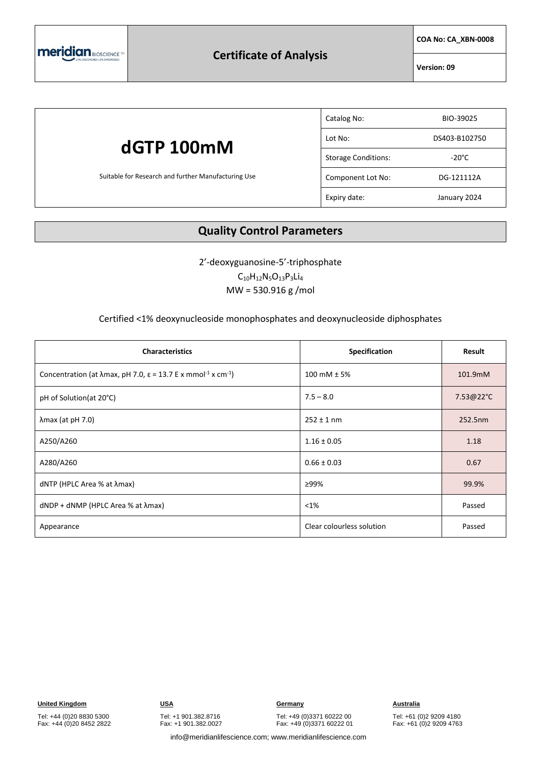

**COA No: CA\_XBN-0008**

**Version: 09**

### **dGTP 100mM** Suitable for Research and further Manufacturing Use Catalog No: BIO-39025 Lot No: DS403-B102750 Storage Conditions: The Storage Conditions: Component Lot No: DG-121112A Expiry date: January 2024

#### **Quality Control Parameters**

2'-deoxyguanosine-5'-triphosphate

 $C_{10}H_{12}N_5O_{13}P_3Li_4$ MW = 530.916 g /mol

#### Certified <1% deoxynucleoside monophosphates and deoxynucleoside diphosphates

| <b>Characteristics</b>                                                                                    | Specification             | Result    |
|-----------------------------------------------------------------------------------------------------------|---------------------------|-----------|
| Concentration (at $\lambda$ max, pH 7.0, $\varepsilon$ = 13.7 E x mmol <sup>-1</sup> x cm <sup>-1</sup> ) | 100 mM $± 5%$             | 101.9mM   |
| pH of Solution(at 20°C)                                                                                   | $7.5 - 8.0$               | 7.53@22°C |
| $\lambda$ max (at pH 7.0)                                                                                 | $252 \pm 1$ nm            | 252.5nm   |
| A250/A260                                                                                                 | $1.16 \pm 0.05$           | 1.18      |
| A280/A260                                                                                                 | $0.66 \pm 0.03$           | 0.67      |
| dNTP (HPLC Area % at λmax)                                                                                | ≥99%                      | 99.9%     |
| $dNDP + dNMP$ (HPLC Area % at $\lambda$ max)                                                              | $< 1\%$                   | Passed    |
| Appearance                                                                                                | Clear colourless solution | Passed    |

Tel: +44 (0)20 8830 5300 Fax: +44 (0)20 8452 2822 Tel: +1 901.382.8716 Fax: +1 901.382.0027

Tel: +49 (0)3371 60222 00 Fax: +49 (0)3371 60222 01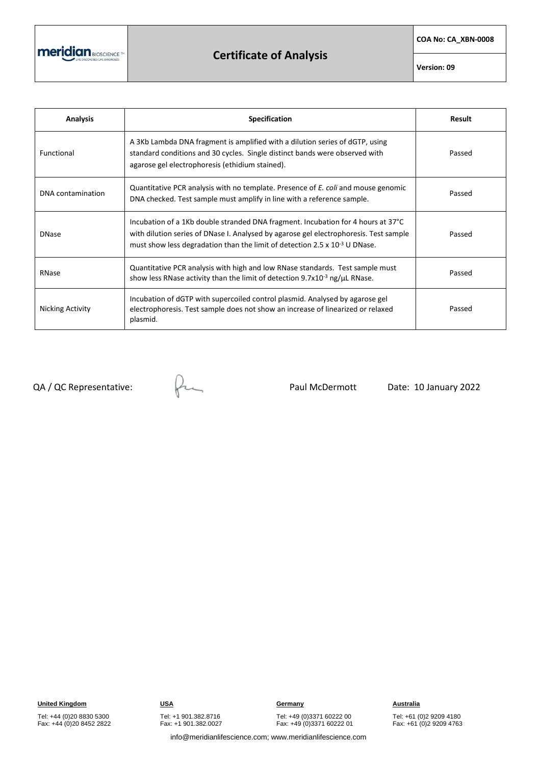meridian BIOSCIENCE TH

## **Certificate of Analysis**

**COA No: CA\_XBN-0008**

**Version: 09**

| <b>Analysis</b>   | <b>Specification</b>                                                                                                                                                                                                                                         | Result |
|-------------------|--------------------------------------------------------------------------------------------------------------------------------------------------------------------------------------------------------------------------------------------------------------|--------|
| Functional        | A 3Kb Lambda DNA fragment is amplified with a dilution series of dGTP, using<br>standard conditions and 30 cycles. Single distinct bands were observed with<br>agarose gel electrophoresis (ethidium stained).                                               | Passed |
| DNA contamination | Quantitative PCR analysis with no template. Presence of E. coli and mouse genomic<br>DNA checked. Test sample must amplify in line with a reference sample.                                                                                                  | Passed |
| <b>DNase</b>      | Incubation of a 1Kb double stranded DNA fragment. Incubation for 4 hours at 37°C<br>with dilution series of DNase I. Analysed by agarose gel electrophoresis. Test sample<br>must show less degradation than the limit of detection 2.5 x $10^{-3}$ U DNase. | Passed |
| RNase             | Quantitative PCR analysis with high and low RNase standards. Test sample must<br>show less RNase activity than the limit of detection 9.7x10 $3$ ng/ $\mu$ L RNase.                                                                                          | Passed |
| Nicking Activity  | Incubation of dGTP with supercoiled control plasmid. Analysed by agarose gel<br>electrophoresis. Test sample does not show an increase of linearized or relaxed<br>plasmid.                                                                                  | Passed |

 $QA$  / QC Representative:  $Q$ 

Tel: +49 (0)3371 60222 00 Fax: +49 (0)3371 60222 01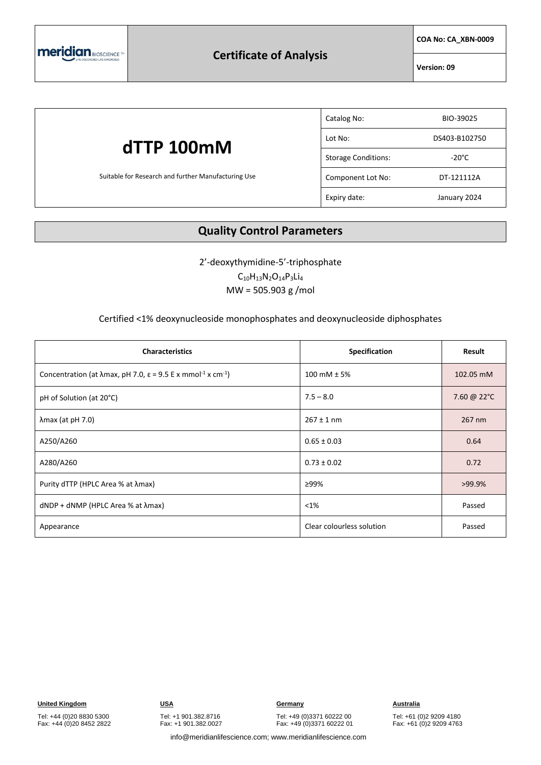

**COA No: CA\_XBN-0009**

**Version: 09**

### **dTTP 100mM** Suitable for Research and further Manufacturing Use Catalog No: BIO-39025 Lot No: DS403-B102750 Storage Conditions: The Storage Conditions: Component Lot No: DT-121112A Expiry date: January 2024

#### **Quality Control Parameters**

2'-deoxythymidine-5'-triphosphate  $C_{10}H_{13}N_{2}O_{14}P_{3}Li_{4}$ 

MW = 505.903 g /mol

#### Certified <1% deoxynucleoside monophosphates and deoxynucleoside diphosphates

| <b>Characteristics</b>                                                                                   | Specification             | Result      |
|----------------------------------------------------------------------------------------------------------|---------------------------|-------------|
| Concentration (at $\lambda$ max, pH 7.0, $\varepsilon$ = 9.5 E x mmol <sup>-1</sup> x cm <sup>-1</sup> ) | 100 mM $± 5%$             | 102.05 mM   |
| pH of Solution (at 20°C)                                                                                 | $7.5 - 8.0$               | 7.60 @ 22°C |
| $\lambda$ max (at pH 7.0)                                                                                | $267 \pm 1$ nm            | 267 nm      |
| A250/A260                                                                                                | $0.65 \pm 0.03$           | 0.64        |
| A280/A260                                                                                                | $0.73 \pm 0.02$           | 0.72        |
| Purity dTTP (HPLC Area % at λmax)                                                                        | ≥99%                      | $>99.9\%$   |
| $dNDP + dNMP$ (HPLC Area % at $\lambda$ max)                                                             | $< 1\%$                   | Passed      |
| Appearance                                                                                               | Clear colourless solution | Passed      |

Tel: +44 (0)20 8830 5300 Fax: +44 (0)20 8452 2822 Tel: +1 901.382.8716 Fax: +1 901.382.0027

Tel: +49 (0)3371 60222 00 Fax: +49 (0)3371 60222 01